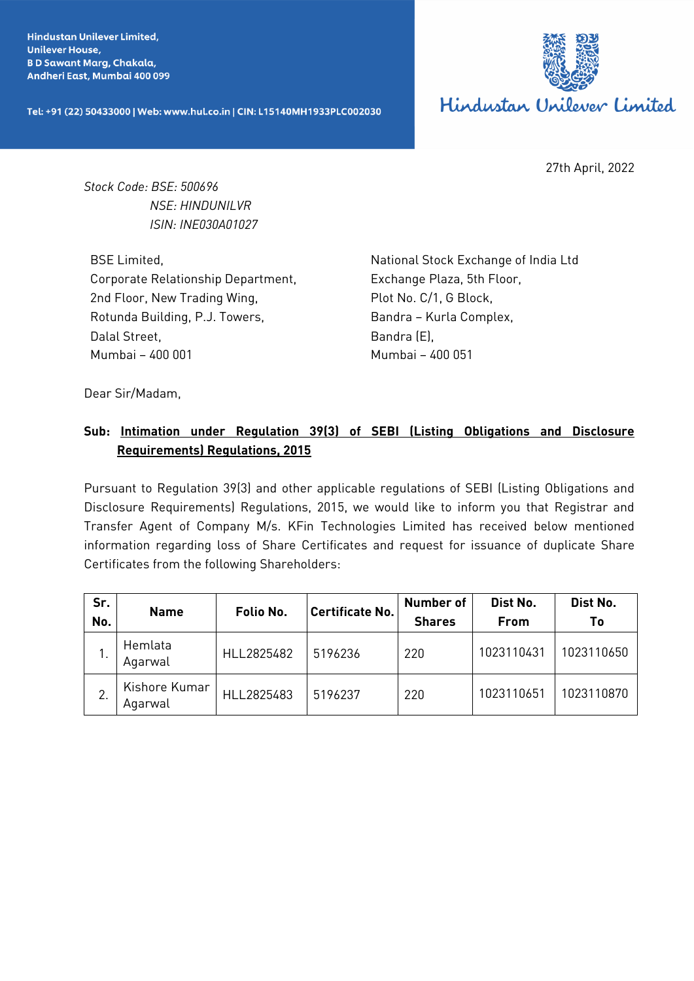**Hindustan Unilever Limited. Unilever House, BD Sawant Marg, Chakala,** Andheri East, Mumbai 400 099

Tel: +91 (22) 50433000 | Web: www.hul.co.in | CIN: L15140MH1933PLC002030



27th April, 2022

*Stock Code: BSE: 500696 NSE: HINDUNILVR ISIN: INE030A01027*

BSE Limited, Corporate Relationship Department, 2nd Floor, New Trading Wing, Rotunda Building, P.J. Towers, Dalal Street, Mumbai – 400 001

National Stock Exchange of India Ltd Exchange Plaza, 5th Floor, Plot No. C/1, G Block, Bandra – Kurla Complex, Bandra (E), Mumbai – 400 051

Dear Sir/Madam,

## **Sub: Intimation under Regulation 39(3) of SEBI (Listing Obligations and Disclosure Requirements) Regulations, 2015**

Pursuant to Regulation 39(3) and other applicable regulations of SEBI (Listing Obligations and Disclosure Requirements) Regulations, 2015, we would like to inform you that Registrar and Transfer Agent of Company M/s. KFin Technologies Limited has received below mentioned information regarding loss of Share Certificates and request for issuance of duplicate Share Certificates from the following Shareholders:

| Sr.<br>No. | <b>Name</b>              | Folio No.  | <b>Certificate No.</b> | Number of<br><b>Shares</b> | Dist No.<br><b>From</b> | Dist No.<br>Τo |
|------------|--------------------------|------------|------------------------|----------------------------|-------------------------|----------------|
|            | Hemlata<br>Agarwal       | HLL2825482 | 5196236                | 220                        | 1023110431              | 1023110650     |
|            | Kishore Kumar<br>Agarwal | HLL2825483 | 5196237                | 220                        | 1023110651              | 1023110870     |